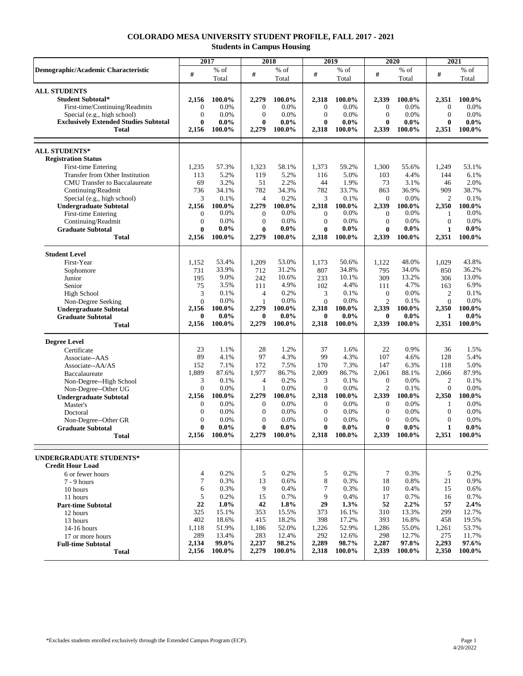## **COLORADO MESA UNIVERSITY STUDENT PROFILE, FALL 2017 - 2021 Students in Campus Housing**

|                                                              | 2017           |                   | 2018                |                   | 2019                  |                   | 2020                               |                   | 2021                  |                   |
|--------------------------------------------------------------|----------------|-------------------|---------------------|-------------------|-----------------------|-------------------|------------------------------------|-------------------|-----------------------|-------------------|
| Demographic/Academic Characteristic                          | #              | $%$ of            | $\#$                | % of              | $\#$                  | $%$ of            | #                                  | $%$ of            | $\#$                  | $%$ of            |
|                                                              |                | Total             |                     | Total             |                       | Total             |                                    | Total             |                       | Total             |
| <b>ALL STUDENTS</b>                                          |                |                   |                     |                   |                       |                   |                                    |                   |                       |                   |
| <b>Student Subtotal*</b>                                     | 2,156          | 100.0%            | 2,279               | $100.0\%$         | 2,318                 | 100.0%            | 2,339                              | 100.0%            | 2,351                 | 100.0%            |
| First-time/Continuing/Readmits                               | $\overline{0}$ | 0.0%              | $\overline{0}$      | 0.0%              | $\theta$              | 0.0%              | $\theta$                           | 0.0%              | $\boldsymbol{0}$      | 0.0%              |
| Special (e.g., high school)                                  | $\Omega$       | 0.0%              | $\overline{0}$      | 0.0%              | $\overline{0}$        | 0.0%              | $\mathbf{0}$                       | 0.0%              | $\mathbf{0}$          | 0.0%              |
| <b>Exclusively Extended Studies Subtotal</b><br><b>Total</b> | 0<br>2,156     | $0.0\%$<br>100.0% | $\bf{0}$<br>2,279   | $0.0\%$<br>100.0% | $\mathbf{0}$<br>2,318 | $0.0\%$<br>100.0% | $\bf{0}$<br>2,339                  | $0.0\%$<br>100.0% | $\bf{0}$              | $0.0\%$<br>100.0% |
|                                                              |                |                   |                     |                   |                       |                   |                                    |                   | 2,351                 |                   |
|                                                              |                |                   |                     |                   |                       |                   |                                    |                   |                       |                   |
| <b>ALL STUDENTS*</b><br><b>Registration Status</b>           |                |                   |                     |                   |                       |                   |                                    |                   |                       |                   |
| First-time Entering                                          | 1,235          | 57.3%             | 1,323               | 58.1%             | 1,373                 | 59.2%             | 1,300                              | 55.6%             | 1,249                 | 53.1%             |
| Transfer from Other Institution                              | 113            | 5.2%              | 119                 | 5.2%              | 116                   | 5.0%              | 103                                | 4.4%              | 144                   | 6.1%              |
| <b>CMU</b> Transfer to Baccalaureate                         | 69             | 3.2%              | 51                  | 2.2%              | 44                    | 1.9%              | 73                                 | 3.1%              | 46                    | 2.0%              |
| Continuing/Readmit<br>Special (e.g., high school)            | 736<br>3       | 34.1%<br>0.1%     | 782<br>4            | 34.3%<br>0.2%     | 782<br>3              | 33.7%<br>0.1%     | 863<br>$\overline{0}$              | 36.9%<br>0.0%     | 909<br>$\overline{2}$ | 38.7%<br>0.1%     |
| <b>Undergraduate Subtotal</b>                                | 2,156          | 100.0%            | 2,279               | 100.0%            | 2,318                 | 100.0%            | 2,339                              | 100.0%            | 2,350                 | 100.0%            |
| First-time Entering                                          | $\theta$       | $0.0\%$           | $\overline{0}$      | 0.0%              | $\boldsymbol{0}$      | 0.0%              | $\theta$                           | 0.0%              | 1                     | 0.0%              |
| Continuing/Readmit                                           | $\theta$       | 0.0%              | $\overline{0}$      | 0.0%              | $\overline{0}$        | 0.0%              | $\overline{0}$                     | 0.0%              | $\overline{0}$        | 0.0%              |
| <b>Graduate Subtotal</b>                                     | 0              | $0.0\%$           | $\bf{0}$            | $0.0\%$           | $\bf{0}$              | $0.0\%$           | 0                                  | $0.0\%$           | $\mathbf{1}$          | $0.0\%$           |
| <b>Total</b>                                                 | 2,156          | 100.0%            | 2,279               | 100.0%            | 2,318                 | 100.0%            | 2,339                              | 100.0%            | 2,351                 | 100.0%            |
| <b>Student Level</b>                                         |                |                   |                     |                   |                       |                   |                                    |                   |                       |                   |
| First-Year                                                   | 1,152          | 53.4%             | 1,209               | 53.0%             | 1,173                 | 50.6%             | 1,122                              | 48.0%             | 1,029                 | 43.8%             |
| Sophomore                                                    | 731            | 33.9%             | 712                 | 31.2%             | 807                   | 34.8%             | 795                                | 34.0%             | 850                   | 36.2%             |
| Junior                                                       | 195            | 9.0%              | 242                 | 10.6%             | 233                   | 10.1%             | 309                                | 13.2%             | 306                   | 13.0%             |
| Senior                                                       | 75             | 3.5%              | 111                 | 4.9%              | 102                   | 4.4%              | 111                                | 4.7%              | 163                   | 6.9%              |
| High School                                                  | 3              | 0.1%              | 4                   | 0.2%              | 3                     | 0.1%              | $\overline{0}$                     | 0.0%              | $\mathbf{2}$          | 0.1%              |
| Non-Degree Seeking                                           | $\Omega$       | 0.0%              | 1                   | 0.0%              | $\Omega$              | 0.0%              | $\overline{2}$                     | 0.1%              | $\mathbf{0}$          | 0.0%              |
| <b>Undergraduate Subtotal</b>                                | 2,156          | 100.0%            | 2,279               | 100.0%            | 2,318                 | 100.0%            | 2,339                              | 100.0%            | 2,350                 | 100.0%            |
| <b>Graduate Subtotal</b>                                     | 0<br>2,156     | $0.0\%$<br>100.0% | $\bf{0}$<br>2,279   | $0.0\%$<br>100.0% | $\mathbf{0}$<br>2,318 | $0.0\%$<br>100.0% | 0<br>2,339                         | $0.0\%$<br>100.0% | 1<br>2,351            | $0.0\%$<br>100.0% |
| <b>Total</b>                                                 |                |                   |                     |                   |                       |                   |                                    |                   |                       |                   |
| <b>Degree Level</b>                                          |                |                   |                     |                   |                       |                   |                                    |                   |                       |                   |
| Certificate                                                  | 23             | 1.1%              | 28                  | 1.2%              | 37                    | 1.6%              | 22                                 | 0.9%              | 36                    | 1.5%              |
| Associate--AAS                                               | 89             | 4.1%              | 97                  | 4.3%              | 99                    | 4.3%              | 107                                | 4.6%              | 128                   | 5.4%              |
| Associate--AA/AS                                             | 152            | 7.1%              | 172                 | 7.5%              | 170                   | 7.3%              | 147                                | 6.3%              | 118                   | 5.0%              |
| Baccalaureate                                                | 1,889          | 87.6%             | 1,977               | 86.7%             | 2,009                 | 86.7%             | 2,061                              | 88.1%             | 2,066                 | 87.9%             |
| Non-Degree--High School                                      | 3<br>$\Omega$  | 0.1%<br>0.0%      | $\overline{4}$<br>1 | 0.2%<br>0.0%      | 3<br>$\mathbf{0}$     | 0.1%<br>0.0%      | $\boldsymbol{0}$<br>$\overline{c}$ | 0.0%<br>0.1%      | 2<br>$\theta$         | 0.1%<br>0.0%      |
| Non-Degree--Other UG<br><b>Undergraduate Subtotal</b>        | 2,156          | 100.0%            | 2,279               | 100.0%            | 2,318                 | 100.0%            | 2,339                              | 100.0%            | 2,350                 | 100.0%            |
| Master's                                                     | $\theta$       | 0.0%              | $\theta$            | 0.0%              | $\theta$              | 0.0%              | $\overline{0}$                     | 0.0%              | 1                     | 0.0%              |
| Doctoral                                                     | $\Omega$       | 0.0%              | $\overline{0}$      | 0.0%              | $\mathbf{0}$          | 0.0%              | $\Omega$                           | 0.0%              | $\mathbf{0}$          | 0.0%              |
| Non-Degree--Other GR                                         | $\theta$       | 0.0%              | $\overline{0}$      | 0.0%              | $\mathbf{0}$          | 0.0%              | $\Omega$                           | 0.0%              | $\mathbf{0}$          | 0.0%              |
| <b>Graduate Subtotal</b>                                     | 0              | $0.0\%$           | 0                   | $0.0\%$           | $\bf{0}$              | $0.0\%$           | 0                                  | $0.0\%$           | $\mathbf{1}$          | $0.0\%$           |
| Total                                                        | 2,156          | 100.0%            | 2,279               | 100.0%            | 2,318                 | 100.0%            | 2,339                              | 100.0%            | 2,351                 | 100.0%            |
|                                                              |                |                   |                     |                   |                       |                   |                                    |                   |                       |                   |
| <b>UNDERGRADUATE STUDENTS*</b><br><b>Credit Hour Load</b>    |                |                   |                     |                   |                       |                   |                                    |                   |                       |                   |
| 6 or fewer hours                                             | 4              | 0.2%              | 5                   | 0.2%              | 5                     | 0.2%              | $\tau$                             | 0.3%              | 5                     | 0.2%              |
| $7 - 9$ hours                                                | 7              | 0.3%              | 13                  | 0.6%              | $\,8\,$               | 0.3%              | 18                                 | 0.8%              | 21                    | 0.9%              |
| 10 hours                                                     | 6              | 0.3%              | 9                   | 0.4%              | $\overline{7}$        | 0.3%              | 10                                 | 0.4%              | 15                    | 0.6%              |
| 11 hours                                                     | 5              | 0.2%              | 15                  | 0.7%              | 9                     | 0.4%              | 17                                 | 0.7%              | 16                    | 0.7%              |
| <b>Part-time Subtotal</b>                                    | 22             | 1.0%              | 42                  | 1.8%              | 29                    | 1.3%              | 52                                 | 2.2%              | 57                    | 2.4%              |
| 12 hours                                                     | 325            | 15.1%             | 353                 | 15.5%             | 373                   | 16.1%             | 310                                | 13.3%             | 299                   | 12.7%             |
| 13 hours                                                     | 402            | 18.6%             | 415                 | 18.2%             | 398                   | 17.2%             | 393                                | 16.8%             | 458                   | 19.5%             |
| 14-16 hours                                                  | 1,118          | 51.9%             | 1,186               | 52.0%             | 1,226                 | 52.9%             | 1,286                              | 55.0%             | 1,261                 | 53.7%             |
| 17 or more hours                                             | 289            | 13.4%             | 283                 | 12.4%             | 292                   | 12.6%             | 298                                | 12.7%             | 275                   | 11.7%             |
| <b>Full-time Subtotal</b>                                    | 2,134          | 99.0%<br>100.0%   | 2,237<br>2,279      | 98.2%<br>100.0%   | 2,289<br>2,318        | 98.7%<br>100.0%   | 2,287<br>2,339                     | 97.8%<br>100.0%   | 2,293                 | 97.6%<br>100.0%   |
| <b>Total</b>                                                 | 2,156          |                   |                     |                   |                       |                   |                                    |                   | 2,350                 |                   |